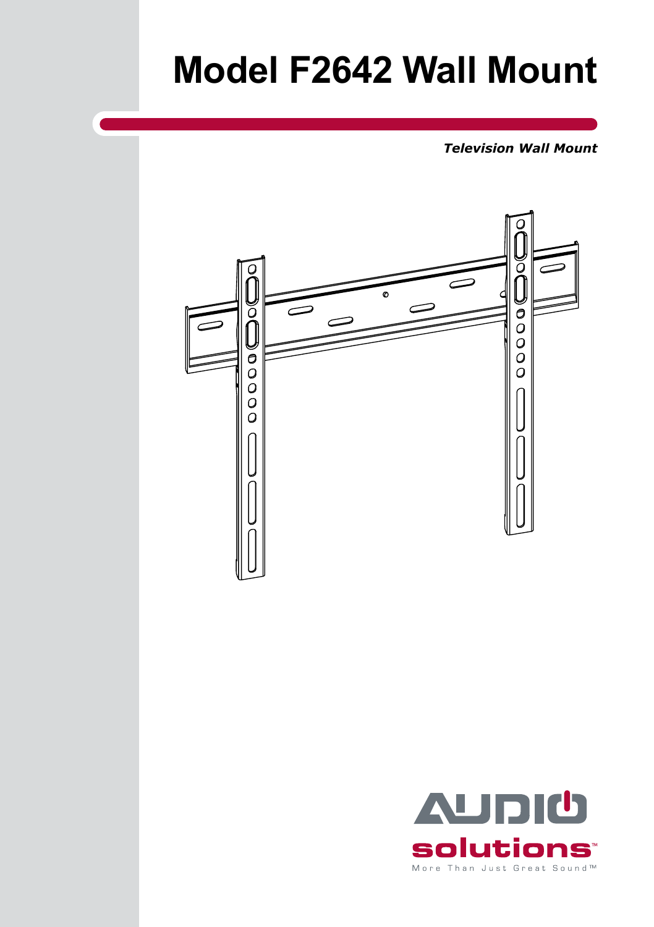# **Model F2642 Wall Mount**

*Television Wall Mount*



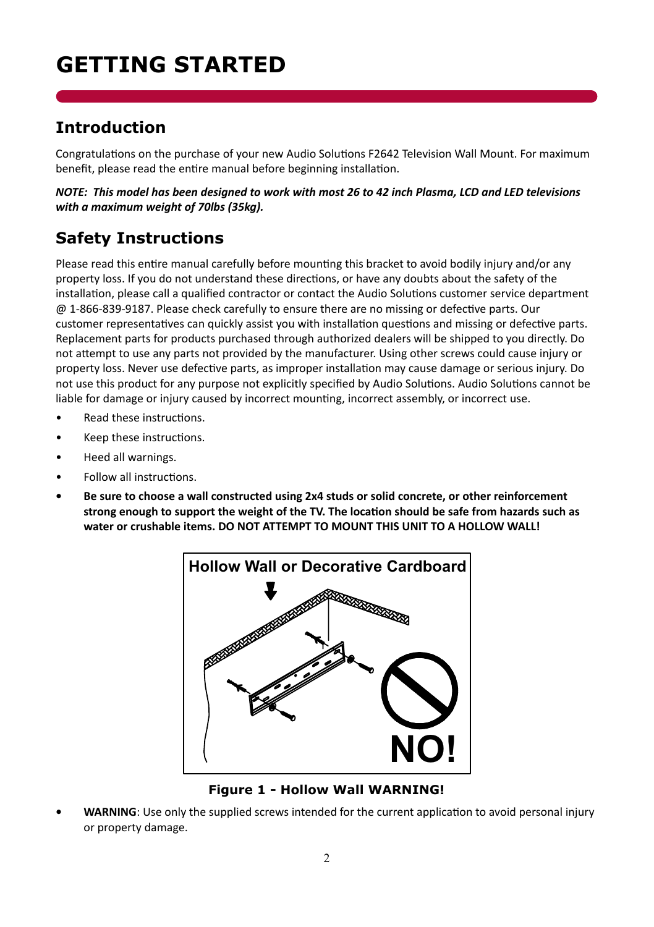## **Getting Started**

### **Introduction**

Congratulations on the purchase of your new Audio Solutions F2642 Television Wall Mount. For maximum benefit, please read the entire manual before beginning installation.

*NOTE: This model has been designed to work with most 26 to 42 inch Plasma, LCD and LED televisions with a maximum weight of 70lbs (35kg).* 

### **Safety Instructions**

Please read this entire manual carefully before mounting this bracket to avoid bodily injury and/or any property loss. If you do not understand these directions, or have any doubts about the safety of the installation, please call a qualified contractor or contact the Audio Solutions customer service department @ 1-866-839-9187. Please check carefully to ensure there are no missing or defective parts. Our customer representatives can quickly assist you with installation questions and missing or defective parts. Replacement parts for products purchased through authorized dealers will be shipped to you directly. Do not attempt to use any parts not provided by the manufacturer. Using other screws could cause injury or property loss. Never use defective parts, as improper installation may cause damage or serious injury. Do not use this product for any purpose not explicitly specified by Audio Solutions. Audio Solutions cannot be liable for damage or injury caused by incorrect mounting, incorrect assembly, or incorrect use.

- Read these instructions.
- Keep these instructions.
- Heed all warnings.
- Follow all instructions.
- **• Be sure to choose a wall constructed using 2x4 studs or solid concrete, or other reinforcement strong enough to support the weight of the TV. The location should be safe from hazards such as water or crushable items. DO NOT ATTEMPT TO MOUNT THIS UNIT TO A HOLLOW WALL!**



**Figure 1 - Hollow Wall WARNING!**

**WARNING:** Use only the supplied screws intended for the current application to avoid personal injury or property damage.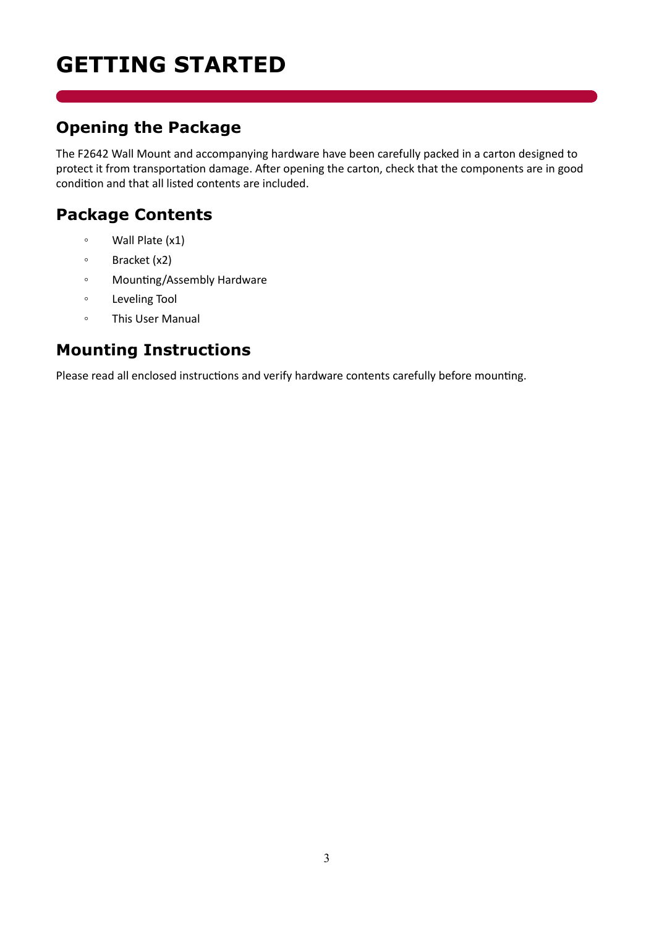## **Getting Started**

### **Opening the Package**

The F2642 Wall Mount and accompanying hardware have been carefully packed in a carton designed to protect it from transportation damage. After opening the carton, check that the components are in good condition and that all listed contents are included.

### **Package Contents**

- Wall Plate (x1)
- Bracket (x2)
- Mounting/Assembly Hardware
- Leveling Tool
- This User Manual

### **Mounting Instructions**

Please read all enclosed instructions and verify hardware contents carefully before mounting.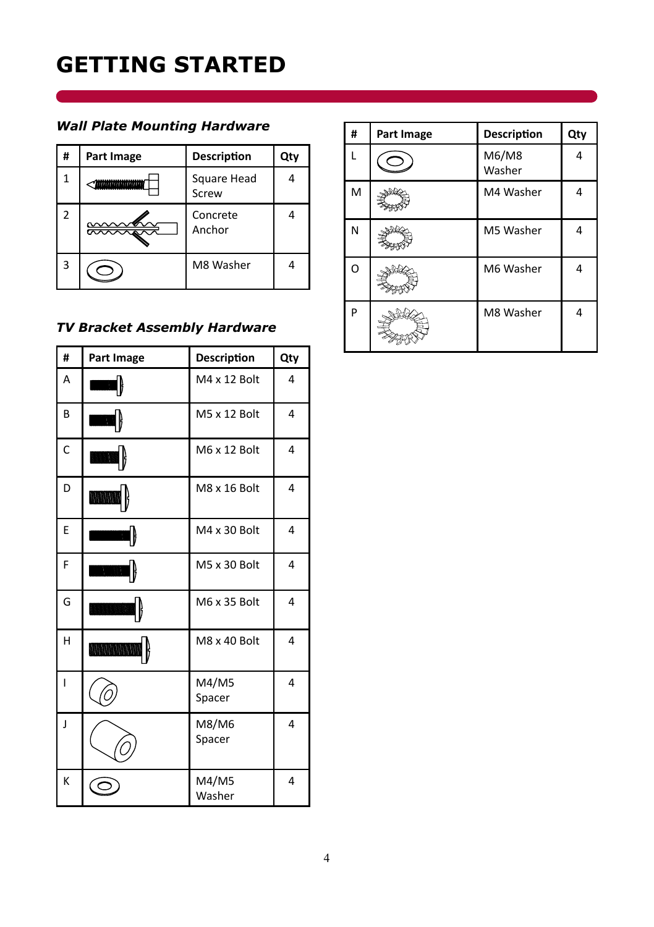## **Getting Started**

#### *Wall Plate Mounting Hardware*

| # | Part Image              | Description          | Qty |
|---|-------------------------|----------------------|-----|
|   | * <i>himinimininini</i> | Square Head<br>Screw |     |
|   |                         | Concrete<br>Anchor   | 4   |
| ς |                         | M8 Washer            | 4   |

#### *TV Bracket Assembly Hardware*

| #            | Part Image      | <b>Description</b> | Qty |
|--------------|-----------------|--------------------|-----|
| A            |                 | M4 x 12 Bolt       | 4   |
| B            | 200903          | M5 x 12 Bolt       | 4   |
| C            | WWW.W.          | M6 x 12 Bolt       | 4   |
| D            | WINNING:        | M8 x 16 Bolt       | 4   |
| E            |                 | M4 x 30 Bolt       | 4   |
| F            | WWWWW           | M5 x 30 Bolt       | 4   |
| G            | munnaan         | M6 x 35 Bolt       | 4   |
| H            | MANAHAR KANAHAR | M8 x 40 Bolt       | 4   |
| $\mathbf{I}$ |                 | M4/M5<br>Spacer    | 4   |
| J            |                 | M8/M6<br>Spacer    | 4   |
| K            |                 | M4/M5<br>Washer    | 4   |

| # | Part Image | Description     | Qty |
|---|------------|-----------------|-----|
|   |            | M6/M8<br>Washer | 4   |
| M |            | M4 Washer       | 4   |
| N |            | M5 Washer       | 4   |
| O |            | M6 Washer       | 4   |
| P |            | M8 Washer       | 4   |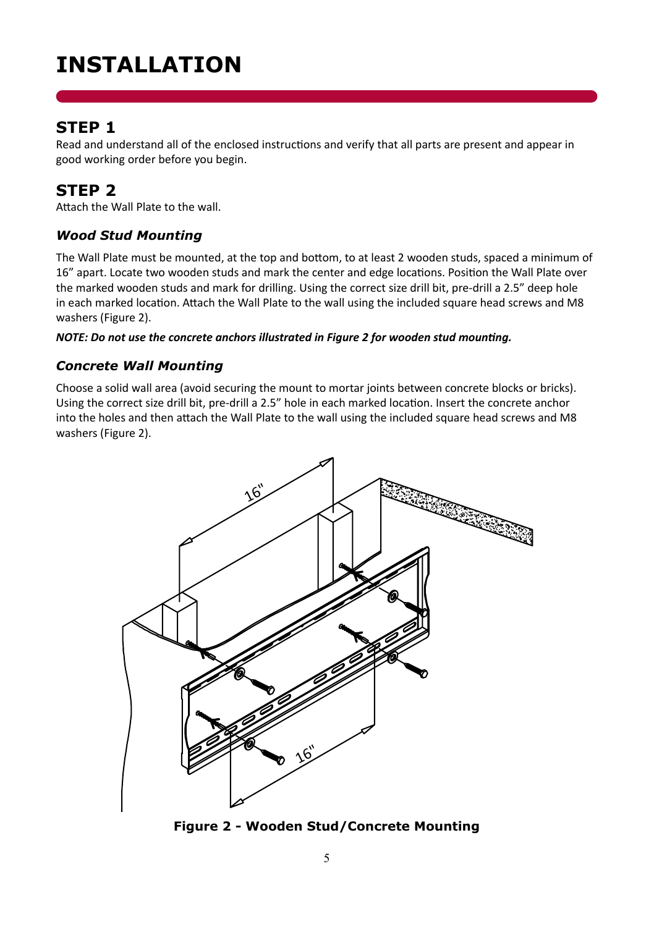## **Installation**

#### **STEP 1**

Read and understand all of the enclosed instructions and verify that all parts are present and appear in good working order before you begin.

### **STEP 2**

Attach the Wall Plate to the wall.

#### *Wood Stud Mounting*

The Wall Plate must be mounted, at the top and bottom, to at least 2 wooden studs, spaced a minimum of 16" apart. Locate two wooden studs and mark the center and edge locations. Position the Wall Plate over the marked wooden studs and mark for drilling. Using the correct size drill bit, pre-drill a 2.5" deep hole in each marked location. Attach the Wall Plate to the wall using the included square head screws and M8 washers (Figure 2).

#### *NOTE: Do not use the concrete anchors illustrated in Figure 2 for wooden stud mounting.*

#### *Concrete Wall Mounting*

Choose a solid wall area (avoid securing the mount to mortar joints between concrete blocks or bricks). Using the correct size drill bit, pre-drill a 2.5" hole in each marked location. Insert the concrete anchor into the holes and then attach the Wall Plate to the wall using the included square head screws and M8 washers (Figure 2).



**Figure 2 - Wooden Stud/Concrete Mounting**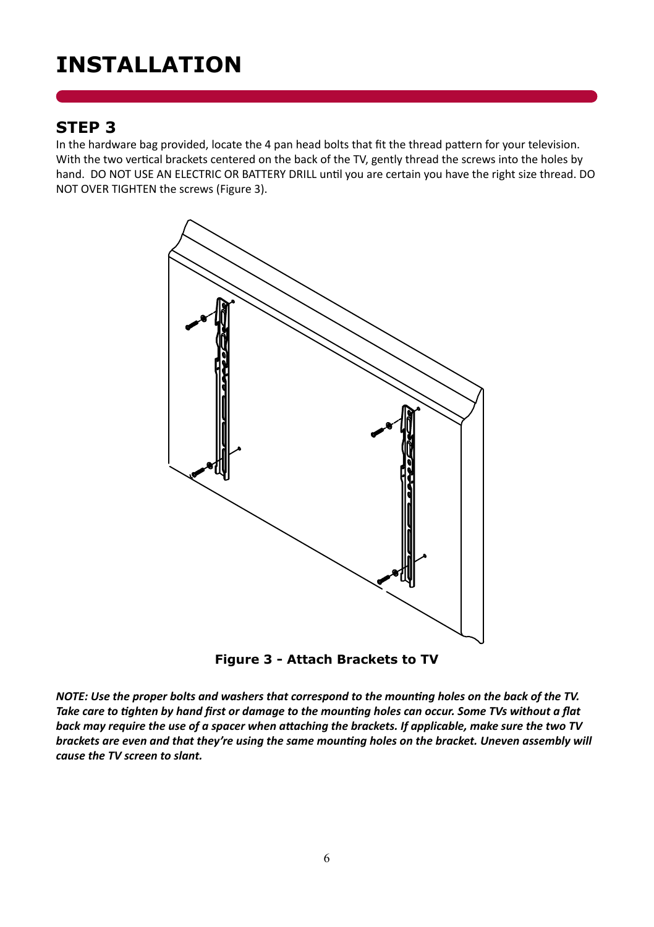## **Installation**

#### **STEP 3**

In the hardware bag provided, locate the 4 pan head bolts that fit the thread pattern for your television. With the two vertical brackets centered on the back of the TV, gently thread the screws into the holes by hand. DO NOT USE AN ELECTRIC OR BATTERY DRILL until you are certain you have the right size thread. DO NOT OVER TIGHTEN the screws (Figure 3).



**Figure 3 - Attach Brackets to TV**

*NOTE: Use the proper bolts and washers that correspond to the mounting holes on the back of the TV. Take care to tighten by hand first or damage to the mounting holes can occur. Some TVs without a flat back may require the use of a spacer when attaching the brackets. If applicable, make sure the two TV brackets are even and that they're using the same mounting holes on the bracket. Uneven assembly will cause the TV screen to slant.*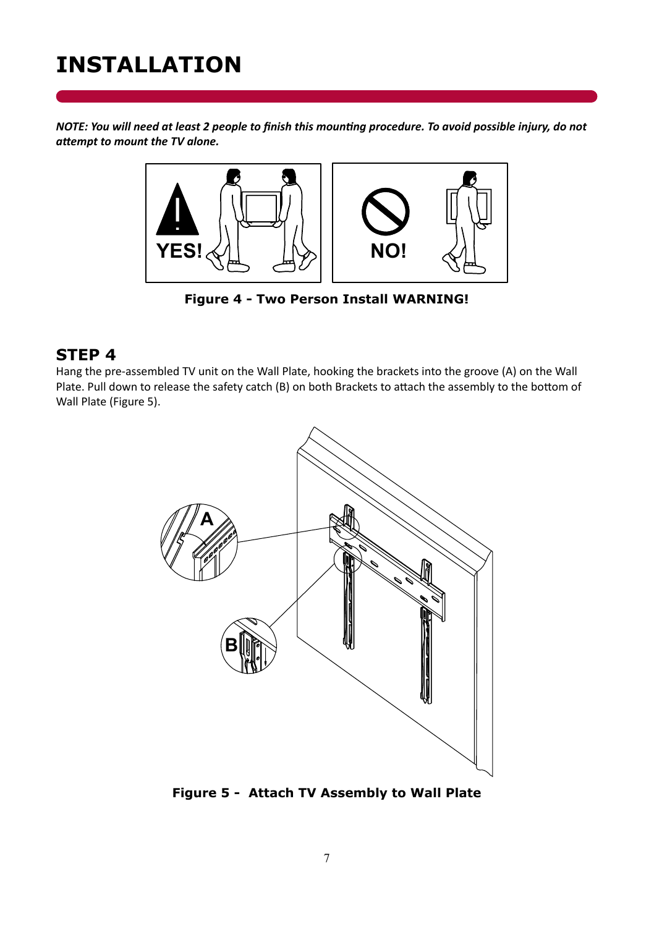## **Installation**

*NOTE: You will need at least 2 people to finish this mounting procedure. To avoid possible injury, do not attempt to mount the TV alone.*



**Figure 4 - Two Person Install WARNING!**

#### **STEP 4**

Hang the pre-assembled TV unit on the Wall Plate, hooking the brackets into the groove (A) on the Wall Plate. Pull down to release the safety catch (B) on both Brackets to attach the assembly to the bottom of Wall Plate (Figure 5).



**Figure 5 - Attach TV Assembly to Wall Plate**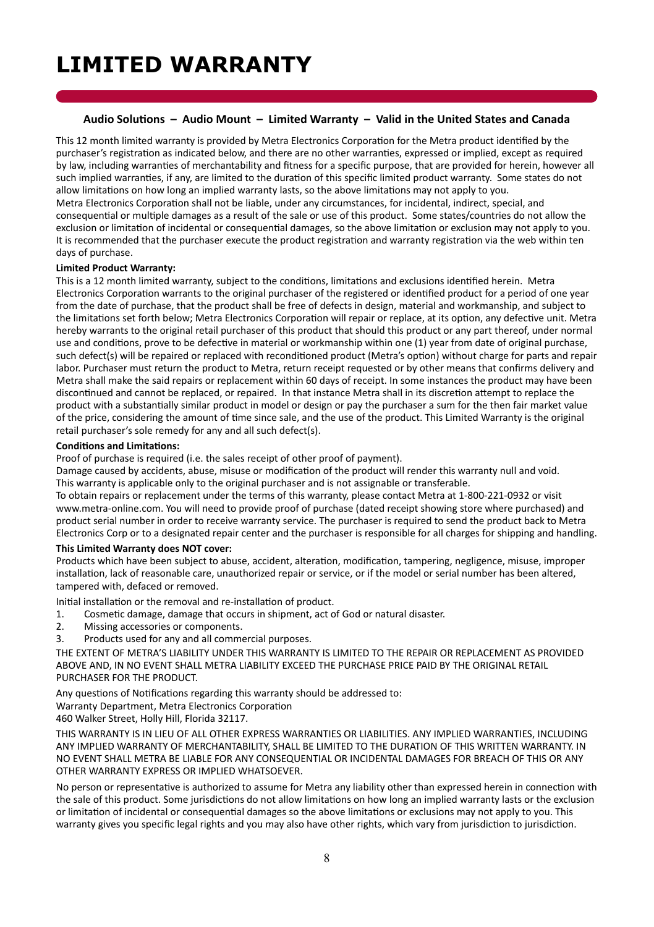#### **Audio Solutions – Audio Mount – Limited Warranty – Valid in the United States and Canada**

This 12 month limited warranty is provided by Metra Electronics Corporation for the Metra product identified by the purchaser's registration as indicated below, and there are no other warranties, expressed or implied, except as required by law, including warranties of merchantability and fitness for a specific purpose, that are provided for herein, however all such implied warranties, if any, are limited to the duration of this specific limited product warranty. Some states do not allow limitations on how long an implied warranty lasts, so the above limitations may not apply to you. Metra Electronics Corporation shall not be liable, under any circumstances, for incidental, indirect, special, and consequential or multiple damages as a result of the sale or use of this product. Some states/countries do not allow the exclusion or limitation of incidental or consequential damages, so the above limitation or exclusion may not apply to you. It is recommended that the purchaser execute the product registration and warranty registration via the web within ten days of purchase.

#### **Limited Product Warranty:**

This is a 12 month limited warranty, subject to the conditions, limitations and exclusions identified herein. Metra Electronics Corporation warrants to the original purchaser of the registered or identified product for a period of one year from the date of purchase, that the product shall be free of defects in design, material and workmanship, and subject to the limitations set forth below; Metra Electronics Corporation will repair or replace, at its option, any defective unit. Metra hereby warrants to the original retail purchaser of this product that should this product or any part thereof, under normal use and conditions, prove to be defective in material or workmanship within one (1) year from date of original purchase, such defect(s) will be repaired or replaced with reconditioned product (Metra's option) without charge for parts and repair labor. Purchaser must return the product to Metra, return receipt requested or by other means that confirms delivery and Metra shall make the said repairs or replacement within 60 days of receipt. In some instances the product may have been discontinued and cannot be replaced, or repaired. In that instance Metra shall in its discretion attempt to replace the product with a substantially similar product in model or design or pay the purchaser a sum for the then fair market value of the price, considering the amount of time since sale, and the use of the product. This Limited Warranty is the original retail purchaser's sole remedy for any and all such defect(s).

#### **Conditions and Limitations:**

Proof of purchase is required (i.e. the sales receipt of other proof of payment).

Damage caused by accidents, abuse, misuse or modification of the product will render this warranty null and void. This warranty is applicable only to the original purchaser and is not assignable or transferable.

To obtain repairs or replacement under the terms of this warranty, please contact Metra at 1-800-221-0932 or visit www.metra-online.com. You will need to provide proof of purchase (dated receipt showing store where purchased) and product serial number in order to receive warranty service. The purchaser is required to send the product back to Metra Electronics Corp or to a designated repair center and the purchaser is responsible for all charges for shipping and handling.

#### **This Limited Warranty does NOT cover:**

Products which have been subject to abuse, accident, alteration, modification, tampering, negligence, misuse, improper installation, lack of reasonable care, unauthorized repair or service, or if the model or serial number has been altered, tampered with, defaced or removed.

Initial installation or the removal and re-installation of product.

- 1. Cosmetic damage, damage that occurs in shipment, act of God or natural disaster.
- 2. Missing accessories or components.<br>3. Products used for any and all comme
- 3. Products used for any and all commercial purposes.

THE EXTENT OF METRA'S LIABILITY UNDER THIS WARRANTY IS LIMITED TO THE REPAIR OR REPLACEMENT AS PROVIDED ABOVE AND, IN NO EVENT SHALL METRA LIABILITY EXCEED THE PURCHASE PRICE PAID BY THE ORIGINAL RETAIL PURCHASER FOR THE PRODUCT.

Any questions of Notifications regarding this warranty should be addressed to: Warranty Department, Metra Electronics Corporation 460 Walker Street, Holly Hill, Florida 32117.

THIS WARRANTY IS IN LIEU OF ALL OTHER EXPRESS WARRANTIES OR LIABILITIES. ANY IMPLIED WARRANTIES, INCLUDING ANY IMPLIED WARRANTY OF MERCHANTABILITY, SHALL BE LIMITED TO THE DURATION OF THIS WRITTEN WARRANTY. IN NO EVENT SHALL METRA BE LIABLE FOR ANY CONSEQUENTIAL OR INCIDENTAL DAMAGES FOR BREACH OF THIS OR ANY OTHER WARRANTY EXPRESS OR IMPLIED WHATSOEVER.

No person or representative is authorized to assume for Metra any liability other than expressed herein in connection with the sale of this product. Some jurisdictions do not allow limitations on how long an implied warranty lasts or the exclusion or limitation of incidental or consequential damages so the above limitations or exclusions may not apply to you. This warranty gives you specific legal rights and you may also have other rights, which vary from jurisdiction to jurisdiction.